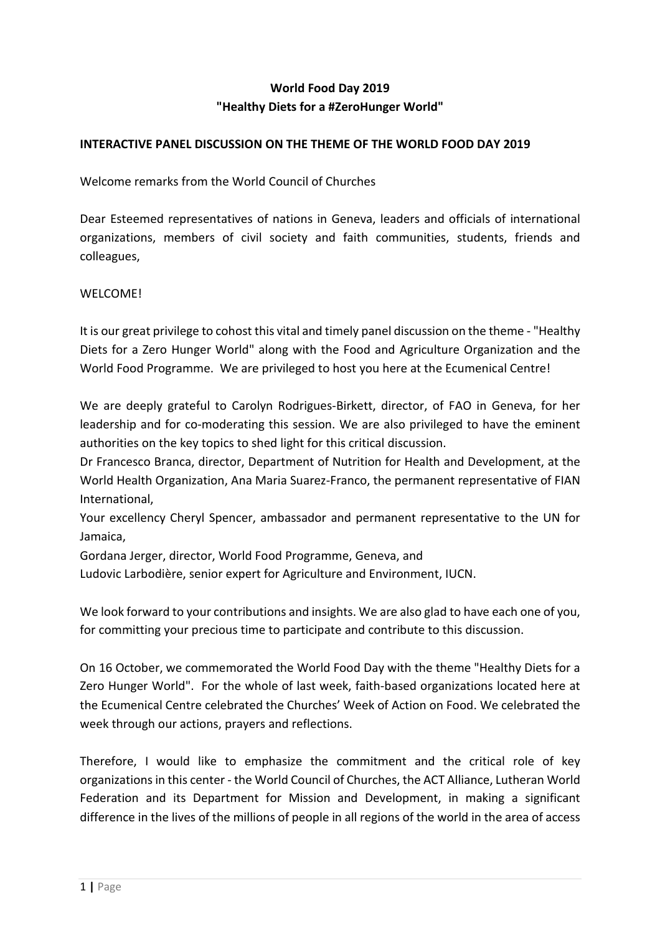## **World Food Day 2019 "Healthy Diets for a #ZeroHunger World"**

## **INTERACTIVE PANEL DISCUSSION ON THE THEME OF THE WORLD FOOD DAY 2019**

Welcome remarks from the World Council of Churches

Dear Esteemed representatives of nations in Geneva, leaders and officials of international organizations, members of civil society and faith communities, students, friends and colleagues,

## WELCOME<sup>1</sup>

It is our great privilege to cohost this vital and timely panel discussion on the theme - "Healthy Diets for a Zero Hunger World" along with the Food and Agriculture Organization and the World Food Programme. We are privileged to host you here at the Ecumenical Centre!

We are deeply grateful to Carolyn Rodrigues-Birkett, director, of FAO in Geneva, for her leadership and for co-moderating this session. We are also privileged to have the eminent authorities on the key topics to shed light for this critical discussion.

Dr Francesco Branca, director, Department of Nutrition for Health and Development, at the World Health Organization, Ana Maria Suarez-Franco, the permanent representative of FIAN International,

Your excellency Cheryl Spencer, ambassador and permanent representative to the UN for Jamaica,

Gordana Jerger, director, World Food Programme, Geneva, and

Ludovic Larbodière, senior expert for Agriculture and Environment, IUCN.

We look forward to your contributions and insights. We are also glad to have each one of you, for committing your precious time to participate and contribute to this discussion.

On 16 October, we commemorated the World Food Day with the theme "Healthy Diets for a Zero Hunger World". For the whole of last week, faith-based organizations located here at the Ecumenical Centre celebrated the Churches' Week of Action on Food. We celebrated the week through our actions, prayers and reflections.

Therefore, I would like to emphasize the commitment and the critical role of key organizationsin this center - the World Council of Churches, the ACT Alliance, Lutheran World Federation and its Department for Mission and Development, in making a significant difference in the lives of the millions of people in all regions of the world in the area of access